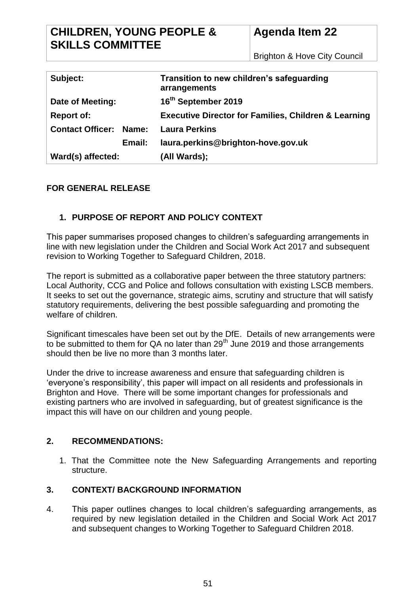# **CHILDREN, YOUNG PEOPLE & SKILLS COMMITTEE**

# **Agenda Item 22**

Brighton & Hove City Council

| Subject:                         | Transition to new children's safeguarding<br>arrangements       |
|----------------------------------|-----------------------------------------------------------------|
| Date of Meeting:                 | 16th September 2019                                             |
| <b>Report of:</b>                | <b>Executive Director for Families, Children &amp; Learning</b> |
| <b>Contact Officer:</b><br>Name: | <b>Laura Perkins</b>                                            |
| Email:                           | laura.perkins@brighton-hove.gov.uk                              |
| Ward(s) affected:                | (All Wards);                                                    |

## **FOR GENERAL RELEASE**

## **1. PURPOSE OF REPORT AND POLICY CONTEXT**

This paper summarises proposed changes to children's safeguarding arrangements in line with new legislation under the Children and Social Work Act 2017 and subsequent revision to Working Together to Safeguard Children, 2018.

The report is submitted as a collaborative paper between the three statutory partners: Local Authority, CCG and Police and follows consultation with existing LSCB members. It seeks to set out the governance, strategic aims, scrutiny and structure that will satisfy statutory requirements, delivering the best possible safeguarding and promoting the welfare of children.

Significant timescales have been set out by the DfE. Details of new arrangements were to be submitted to them for QA no later than  $29<sup>th</sup>$  June 2019 and those arrangements should then be live no more than 3 months later.

Under the drive to increase awareness and ensure that safeguarding children is 'everyone's responsibility', this paper will impact on all residents and professionals in Brighton and Hove. There will be some important changes for professionals and existing partners who are involved in safeguarding, but of greatest significance is the impact this will have on our children and young people.

### **2. RECOMMENDATIONS:**

1. That the Committee note the New Safeguarding Arrangements and reporting structure.

### **3. CONTEXT/ BACKGROUND INFORMATION**

4. This paper outlines changes to local children's safeguarding arrangements, as required by new legislation detailed in the Children and Social Work Act 2017 and subsequent changes to Working Together to Safeguard Children 2018.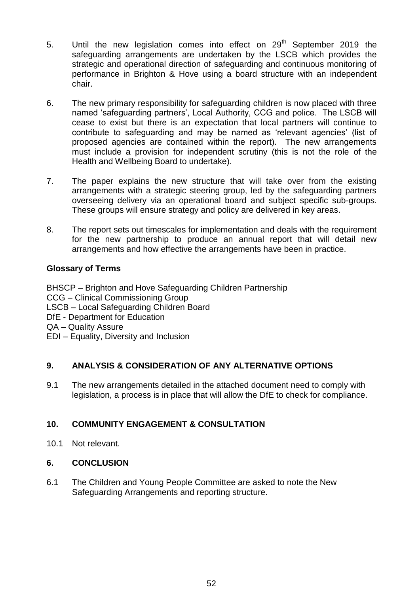- 5. Until the new legislation comes into effect on 29<sup>th</sup> September 2019 the safeguarding arrangements are undertaken by the LSCB which provides the strategic and operational direction of safeguarding and continuous monitoring of performance in Brighton & Hove using a board structure with an independent chair.
- 6. The new primary responsibility for safeguarding children is now placed with three named 'safeguarding partners', Local Authority, CCG and police. The LSCB will cease to exist but there is an expectation that local partners will continue to contribute to safeguarding and may be named as 'relevant agencies' (list of proposed agencies are contained within the report). The new arrangements must include a provision for independent scrutiny (this is not the role of the Health and Wellbeing Board to undertake).
- 7. The paper explains the new structure that will take over from the existing arrangements with a strategic steering group, led by the safeguarding partners overseeing delivery via an operational board and subject specific sub-groups. These groups will ensure strategy and policy are delivered in key areas.
- 8. The report sets out timescales for implementation and deals with the requirement for the new partnership to produce an annual report that will detail new arrangements and how effective the arrangements have been in practice.

### **Glossary of Terms**

BHSCP – Brighton and Hove Safeguarding Children Partnership CCG – Clinical Commissioning Group

- LSCB Local Safeguarding Children Board
- DfE Department for Education
- QA Quality Assure
- EDI Equality, Diversity and Inclusion

# **9. ANALYSIS & CONSIDERATION OF ANY ALTERNATIVE OPTIONS**

9.1 The new arrangements detailed in the attached document need to comply with legislation, a process is in place that will allow the DfE to check for compliance.

# **10. COMMUNITY ENGAGEMENT & CONSULTATION**

10.1 Not relevant.

### **6. CONCLUSION**

6.1 The Children and Young People Committee are asked to note the New Safeguarding Arrangements and reporting structure.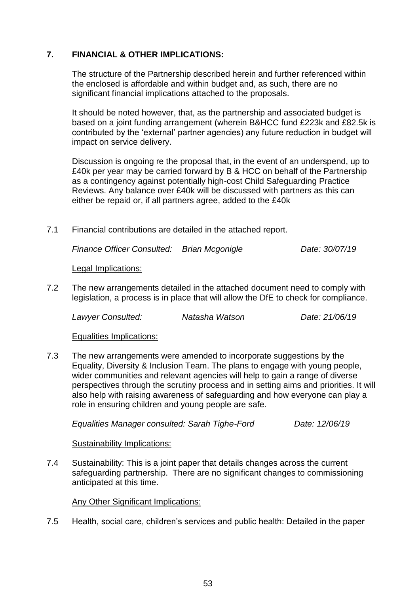#### **7. FINANCIAL & OTHER IMPLICATIONS:**

The structure of the Partnership described herein and further referenced within the enclosed is affordable and within budget and, as such, there are no significant financial implications attached to the proposals.

It should be noted however, that, as the partnership and associated budget is based on a joint funding arrangement (wherein B&HCC fund £223k and £82.5k is contributed by the 'external' partner agencies) any future reduction in budget will impact on service delivery.

Discussion is ongoing re the proposal that, in the event of an underspend, up to £40k per year may be carried forward by B & HCC on behalf of the Partnership as a contingency against potentially high-cost Child Safeguarding Practice Reviews. Any balance over £40k will be discussed with partners as this can either be repaid or, if all partners agree, added to the £40k

7.1 Financial contributions are detailed in the attached report.

*Finance Officer Consulted: Brian Mcgonigle Date: 30/07/19*

Legal Implications:

7.2 The new arrangements detailed in the attached document need to comply with legislation, a process is in place that will allow the DfE to check for compliance.

*Lawyer Consulted: Natasha Watson Date: 21/06/19*

Equalities Implications:

7.3 The new arrangements were amended to incorporate suggestions by the Equality, Diversity & Inclusion Team. The plans to engage with young people, wider communities and relevant agencies will help to gain a range of diverse perspectives through the scrutiny process and in setting aims and priorities. It will also help with raising awareness of safeguarding and how everyone can play a role in ensuring children and young people are safe.

*Equalities Manager consulted: Sarah Tighe-Ford Date: 12/06/19*

Sustainability Implications:

7.4 Sustainability: This is a joint paper that details changes across the current safeguarding partnership. There are no significant changes to commissioning anticipated at this time.

#### Any Other Significant Implications:

7.5 Health, social care, children's services and public health: Detailed in the paper